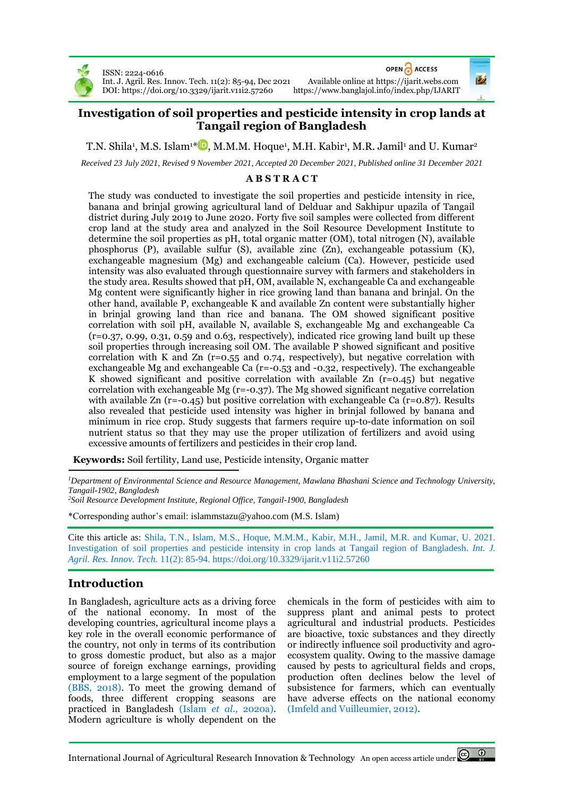

ISSN: 2224-0616 Int. J. Agril. Res. Innov. Tech. 11(2): 85-94, Dec 2021 Available online at [https://ijarit.webs.com](http://ijarit.webs.com/) DOI[: https://doi.org/10.3329/ijarit.v11i2.57260](https://doi.org/10.3329/ijarit.v11i2.57260)

OPEN CACCESS

# **Investigation of soil properties and pesticide intensity in crop lands at Tangail region of Bangladesh**

T.N. Shila<sup>1</sup>[,](https://orcid.org/0000-0002-7560-9334) M.S. Islam<sup>1\* D</sup>, M.M.M. Hoque<sup>1</sup>, M.H. Kabir<sup>1</sup>, M.R. Jamil<sup>1</sup> and U. Kumar<sup>2</sup>

*Received 23 July 2021, Revised 9 November 2021, Accepted 20 December 2021, Published online 31 December 2021*

#### **A B S T R A C T**

The study was conducted to investigate the soil properties and pesticide intensity in rice, banana and brinjal growing agricultural land of Delduar and Sakhipur upazila of Tangail district during July 2019 to June 2020. Forty five soil samples were collected from different crop land at the study area and analyzed in the Soil Resource Development Institute to determine the soil properties as pH, total organic matter (OM), total nitrogen (N), available phosphorus (P), available sulfur (S), available zinc (Zn), exchangeable potassium (K), exchangeable magnesium (Mg) and exchangeable calcium (Ca). However, pesticide used intensity was also evaluated through questionnaire survey with farmers and stakeholders in the study area. Results showed that pH, OM, available N, exchangeable Ca and exchangeable Mg content were significantly higher in rice growing land than banana and brinjal. On the other hand, available P, exchangeable K and available Zn content were substantially higher in brinjal growing land than rice and banana. The OM showed significant positive correlation with soil pH, available N, available S, exchangeable Mg and exchangeable Ca (r=0.37, 0.99, 0.31, 0.59 and 0.63, respectively), indicated rice growing land built up these soil properties through increasing soil OM. The available P showed significant and positive correlation with K and Zn ( $r=0.55$  and 0.74, respectively), but negative correlation with exchangeable Mg and exchangeable Ca (r=-0.53 and -0.32, respectively). The exchangeable K showed significant and positive correlation with available  $Zn$  (r=0.45) but negative correlation with exchangeable Mg ( $r=-0.37$ ). The Mg showed significant negative correlation with available Zn (r=-0.45) but positive correlation with exchangeable Ca (r=0.87). Results also revealed that pesticide used intensity was higher in brinjal followed by banana and minimum in rice crop. Study suggests that farmers require up-to-date information on soil nutrient status so that they may use the proper utilization of fertilizers and avoid using excessive amounts of fertilizers and pesticides in their crop land.

**Keywords:** Soil fertility, Land use, Pesticide intensity, Organic matter

*<sup>1</sup>Department of Environmental Science and Resource Management, Mawlana Bhashani Science and Technology University, Tangail-1902, Bangladesh*

*<sup>2</sup>Soil Resource Development Institute, Regional Office, Tangail-1900, Bangladesh*

\*Corresponding author's email[: islammstazu@yahoo.com](mailto:islammstazu@yahoo.com) (M.S. Islam)

Cite this article as: Shila, T.N., Islam, M.S., Hoque, M.M.M., Kabir, M.H., Jamil, M.R. and Kumar, U. 2021. Investigation of soil properties and pesticide intensity in crop lands at Tangail region of Bangladesh. *Int. J. Agril. Res. Innov. Tech.* 11(2): 85-94. <https://doi.org/10.3329/ijarit.v11i2.57260>

# **Introduction**

In Bangladesh, agriculture acts as a driving force of the national economy. In most of the developing countries, agricultural income plays a key role in the overall economic performance of the country, not only in terms of its contribution to gross domestic product, but also as a major source of foreign exchange earnings, providing employment to a large segment of the population (BBS, 2018). To meet the growing demand of foods, three different cropping seasons are practiced in Bangladesh (Islam *et al*., 2020a). Modern agriculture is wholly dependent on the

chemicals in the form of pesticides with aim to suppress plant and animal pests to protect agricultural and industrial products. Pesticides are bioactive, toxic substances and they directly or indirectly influence soil productivity and agroecosystem quality. Owing to the massive damage caused by pests to agricultural fields and crops, production often declines below the level of subsistence for farmers, which can eventually have adverse effects on the national economy (Imfeld and Vuilleumier, 2012).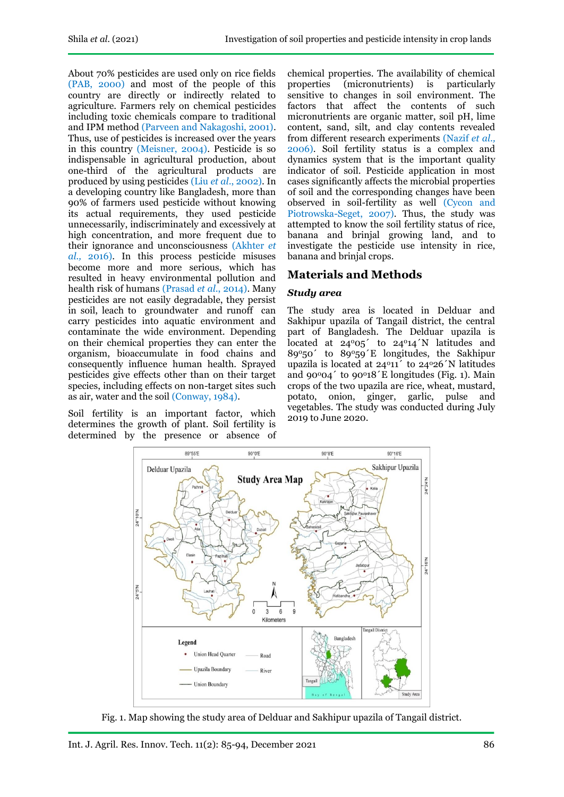About 70% pesticides are used only on rice fields (PAB, 2000) and most of the people of this country are directly or indirectly related to agriculture. Farmers rely on chemical pesticides including toxic chemicals compare to traditional and IPM method (Parveen and Nakagoshi, 2001). Thus, use of pesticides is increased over the years in this country (Meisner, 2004). Pesticide is so indispensable in agricultural production, about one-third of the agricultural products are produced by using pesticides (Liu *et al*., 2002). In a developing country like Bangladesh, more than 90% of farmers used pesticide without knowing its actual requirements, they used pesticide unnecessarily, indiscriminately and excessively at high concentration, and more frequent due to their ignorance and unconsciousness (Akhter *et al.,* 2016). In this process pesticide misuses become more and more serious, which has resulted in heavy environmental pollution and health risk of humans (Prasad *et al*., 2014). Many pesticides are not easily degradable, they persist in soil, leach to groundwater and runoff can carry pesticides into aquatic environment and contaminate the wide environment. Depending on their chemical properties they can enter the organism, bioaccumulate in food chains and consequently influence human health. Sprayed pesticides give effects other than on their target species, including effects on non-target sites such as air, water and the soil (Conway, 1984).

Soil fertility is an important factor, which determines the growth of plant. Soil fertility is determined by the presence or absence of

chemical properties. The availability of chemical properties (micronutrients) is particularly sensitive to changes in soil environment. The factors that affect the contents of such micronutrients are organic matter, soil pH, lime content, sand, silt, and clay contents revealed from different research experiments (Nazif *et al.,*  2006). Soil fertility status is a complex and dynamics system that is the important quality indicator of soil. Pesticide application in most cases significantly affects the microbial properties of soil and the corresponding changes have been observed in soil-fertility as well (Cycon and Piotrowska-Seget, 2007). Thus, the study was attempted to know the soil fertility status of rice, banana and brinjal growing land, and to investigate the pesticide use intensity in rice, banana and brinjal crops.

# **Materials and Methods**

## *Study area*

The study area is located in Delduar and Sakhipur upazila of Tangail district, the central part of Bangladesh. The Delduar upazila is located at  $24^{\circ}05'$  to  $24^{\circ}14'$  N latitudes and  $89^{\circ}50'$  to  $89^{\circ}59'$  k longitudes, the Sakhipur upazila is located at  $24^{\circ}11'$  to  $24^{\circ}26'$  N latitudes and  $90^{\circ}04'$  to  $90^{\circ}18'E$  longitudes (Fig. 1). Main crops of the two upazila are rice, wheat, mustard, potato, onion, ginger, garlic, pulse and vegetables. The study was conducted during July 2019 to June 2020.



Fig. 1. Map showing the study area of Delduar and Sakhipur upazila of Tangail district.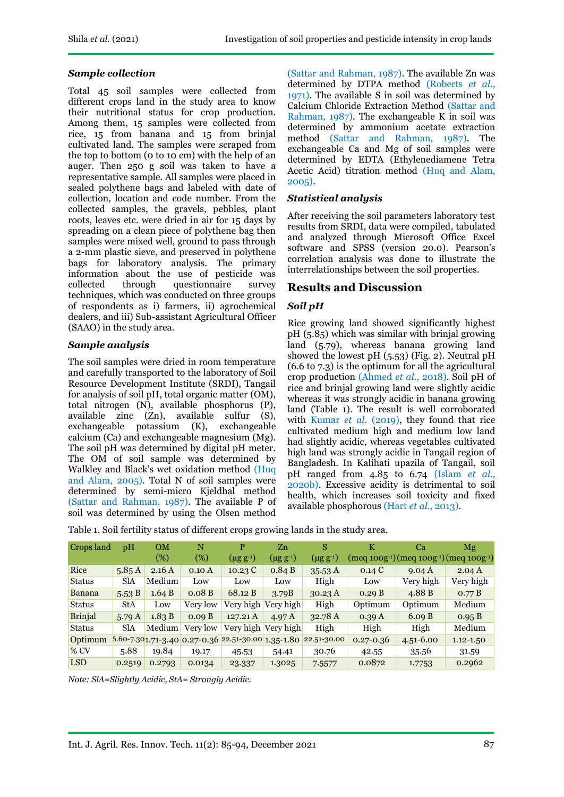## *Sample collection*

Total 45 soil samples were collected from different crops land in the study area to know their nutritional status for crop production. Among them, 15 samples were collected from rice, 15 from banana and 15 from brinjal cultivated land. The samples were scraped from the top to bottom ( $\alpha$  to  $10 \text{ cm}$ ) with the help of an auger. Then 250 g soil was taken to have a representative sample. All samples were placed in sealed polythene bags and labeled with date of collection, location and code number. From the collected samples, the gravels, pebbles, plant roots, leaves etc. were dried in air for 15 days by spreading on a clean piece of polythene bag then samples were mixed well, ground to pass through a 2-mm plastic sieve, and preserved in polythene bags for laboratory analysis. The primary information about the use of pesticide was collected through questionnaire survey techniques, which was conducted on three groups of respondents as i) farmers, ii) agrochemical dealers, and iii) Sub-assistant Agricultural Officer (SAAO) in the study area.

### *Sample analysis*

The soil samples were dried in room temperature and carefully transported to the laboratory of Soil Resource Development Institute (SRDI), Tangail for analysis of soil pH, total organic matter (OM), total nitrogen (N), available phosphorus (P), available zinc (Zn), available sulfur (S), exchangeable potassium (K), exchangeable calcium (Ca) and exchangeable magnesium (Mg). The soil pH was determined by digital pH meter. The OM of soil sample was determined by Walkley and Black's wet oxidation method (Huq and Alam, 2005). Total N of soil samples were determined by semi-micro Kjeldhal method (Sattar and Rahman, 1987). The available P of soil was determined by using the Olsen method (Sattar and Rahman, 1987). The available Zn was determined by DTPA method (Roberts *et al.,*  1971). The available S in soil was determined by Calcium Chloride Extraction Method (Sattar and Rahman, 1987). The exchangeable K in soil was determined by ammonium acetate extraction method (Sattar and Rahman, 1987). The exchangeable Ca and Mg of soil samples were determined by EDTA (Ethylenediamene Tetra Acetic Acid) titration method (Huq and Alam, 2005).

## *Statistical analysis*

After receiving the soil parameters laboratory test results from SRDI, data were compiled, tabulated and analyzed through Microsoft Office Excel software and SPSS (version 20.0). Pearson's correlation analysis was done to illustrate the interrelationships between the soil properties.

# **Results and Discussion**

## *Soil pH*

Rice growing land showed significantly highest pH (5.85) which was similar with brinjal growing land (5.79), whereas banana growing land showed the lowest pH (5.53) (Fig. 2). Neutral pH (6.6 to 7.3) is the optimum for all the agricultural crop production (Ahmed *et al.,* 2018). Soil pH of rice and brinjal growing land were slightly acidic whereas it was strongly acidic in banana growing land (Table 1). The result is well corroborated with Kumar *et al.* (2019), they found that rice cultivated medium high and medium low land had slightly acidic, whereas vegetables cultivated high land was strongly acidic in Tangail region of Bangladesh. In Kalihati upazila of Tangail, soil pH ranged from 4.85 to 6.74 (Islam *et al.,* 2020b). Excessive acidity is detrimental to soil health, which increases soil toxicity and fixed available phosphorous (Hart *et al.*, 2013).

Table 1. Soil fertility status of different crops growing lands in the study area.

| Crops land     | pH         | <b>OM</b> | N        | P                | Zn                | S                                                                   | K             | Ca                                                                          | Mg            |
|----------------|------------|-----------|----------|------------------|-------------------|---------------------------------------------------------------------|---------------|-----------------------------------------------------------------------------|---------------|
|                |            | (%)       | (%)      | $(\mu g g^{-1})$ | $(\mu g\ g^{-1})$ | $(\mu$ g g <sup>-1</sup> )                                          |               | (meq 100g <sup>-1</sup> )(meq 100g <sup>-1</sup> )(meq 100g <sup>-1</sup> ) |               |
| Rice           | 5.85A      | 2.16A     | 0.10A    | 10.23C           | 0.84 B            | 35.53A                                                              | 0.14C         | 9.04 A                                                                      | 2.04A         |
| <b>Status</b>  | <b>SlA</b> | Medium    | Low      | Low              | Low               | High                                                                | Low           | Very high                                                                   | Very high     |
| Banana         | 5.53B      | 1.64 B    | 0.08B    | 68.12 B          | 3.79B             | 30.23 A                                                             | 0.29 B        | 4.88B                                                                       | 0.77 B        |
| <b>Status</b>  | <b>StA</b> | Low       | Very low | Very high        | Very high         | High                                                                | Optimum       | Optimum                                                                     | Medium        |
| <b>Brinjal</b> | 5.79A      | 1.83 B    | 0.09 B   | 127.21A          | 4.97 <sub>A</sub> | 32.78 A                                                             | 0.39A         | 6.09 B                                                                      | 0.95 B        |
| <b>Status</b>  | <b>SlA</b> | Medium    | Very low | Very high        | Very high         | High                                                                | High          | High                                                                        | Medium        |
| Optimum        |            |           |          |                  |                   | $5.60 - 7.30$ 1.71-3.40 0.27-0.36 22.51-30.00 1.35-1.80 22.51-30.00 | $0.27 - 0.36$ | $4.51 - 6.00$                                                               | $1.12 - 1.50$ |
| $%$ CV         | 5.88       | 19.84     | 19.17    | 45.53            | 54.41             | 30.76                                                               | 42.55         | 35.56                                                                       | 31.59         |
| <b>LSD</b>     | 0.2519     | 0.2793    | 0.0134   | 23.337           | 1.3025            | 7.5577                                                              | 0.0872        | 1.7753                                                                      | 0.2962        |

*Note: SlA=Slightly Acidic, StA= Strongly Acidic.*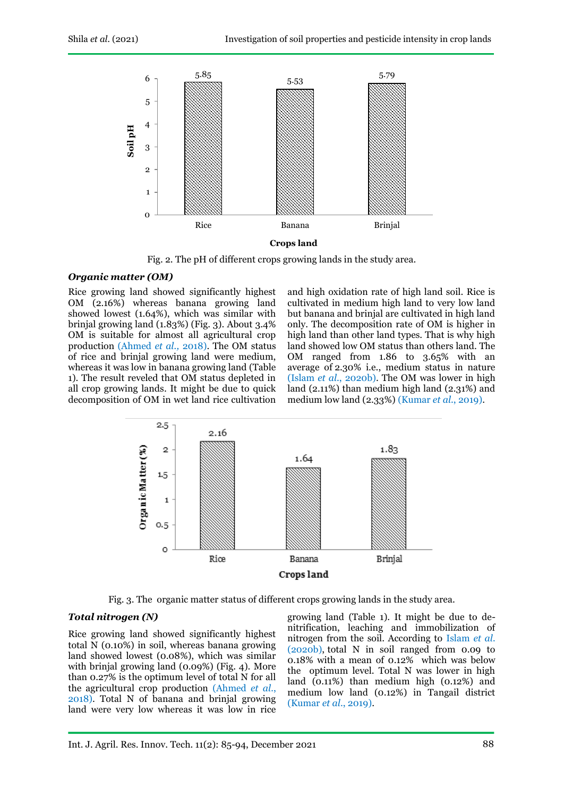

Fig. 2. The pH of different crops growing lands in the study area.

#### *Organic matter (OM)*

Rice growing land showed significantly highest OM (2.16%) whereas banana growing land showed lowest (1.64%), which was similar with brinjal growing land (1.83%) (Fig. 3). About 3.4% OM is suitable for almost all agricultural crop production (Ahmed *et al.,* 2018). The OM status of rice and brinjal growing land were medium, whereas it was low in banana growing land (Table 1). The result reveled that OM status depleted in all crop growing lands. It might be due to quick decomposition of OM in wet land rice cultivation

and high oxidation rate of high land soil. Rice is cultivated in medium high land to very low land but banana and brinjal are cultivated in high land only. The decomposition rate of OM is higher in high land than other land types. That is why high land showed low OM status than others land. The OM ranged from 1.86 to 3.65% with an average of 2.30% i.e., medium status in nature (Islam *et al*., 2020b). The OM was lower in high land (2.11%) than medium high land (2.31%) and medium low land (2.33%) (Kumar *et al*., 2019).



Fig. 3. The organic matter status of different crops growing lands in the study area.

### *Total nitrogen (N)*

Rice growing land showed significantly highest total N (0.10%) in soil, whereas banana growing land showed lowest (0.08%), which was similar with brinjal growing land (0.09%) (Fig. 4). More than 0.27% is the optimum level of total N for all the agricultural crop production (Ahmed *et al.*, 2018). Total N of banana and brinjal growing land were very low whereas it was low in rice growing land (Table 1). It might be due to denitrification, leaching and immobilization of nitrogen from the soil. According to Islam *et al.* (2020b), total N in soil ranged from 0.09 to 0.18% with a mean of 0.12% which was below the optimum level. Total N was lower in high land (0.11%) than medium high (0.12%) and medium low land (0.12%) in Tangail district (Kumar *et al*., 2019).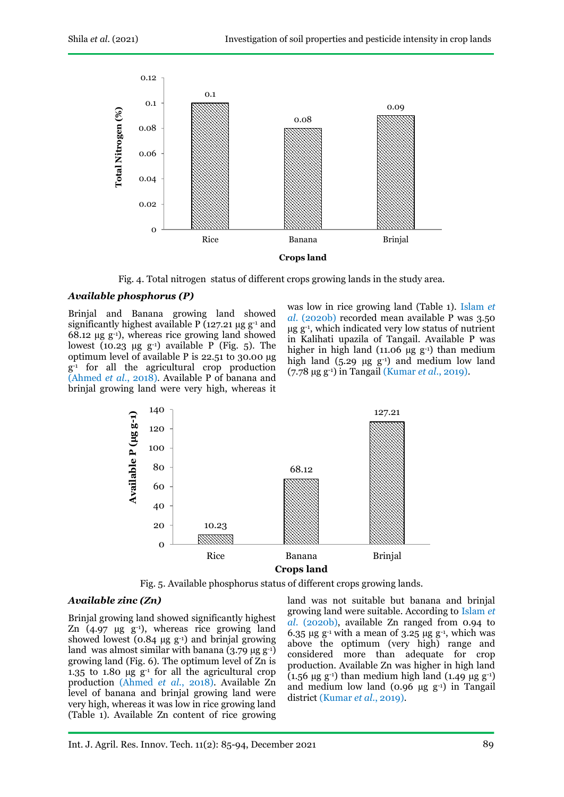

Fig. 4. Total nitrogen status of different crops growing lands in the study area.

#### *Available phosphorus (P)*

Brinjal and Banana growing land showed significantly highest available P ( $127.21 \mu$ g g<sup>-1</sup> and 68.12  $\mu$ g g<sup>-1</sup>), whereas rice growing land showed lowest (10.23  $\mu$ g g<sup>-1</sup>) available P (Fig. 5). The optimum level of available P is 22.51 to 30.00 µg g-1 for all the agricultural crop production (Ahmed *et al*., 2018). Available P of banana and brinjal growing land were very high, whereas it

was low in rice growing land (Table 1). Islam *et al.* (2020b) recorded mean available P was 3.50 µg g-1 , which indicated very low status of nutrient in Kalihati upazila of Tangail. Available P was higher in high land (11.06  $\mu$ g g<sup>-1</sup>) than medium high land  $(5.29 \mu g g^{-1})$  and medium low land (7.78 µg g-1) in Tangail (Kumar *et al*., 2019).



Fig. 5. Available phosphorus status of different crops growing lands.

#### *Available zinc (Zn)*

Brinjal growing land showed significantly highest Zn  $(4.97 \text{ µg g}^{-1})$ , whereas rice growing land showed lowest  $(0.84 \mu g g^{-1})$  and brinjal growing land was almost similar with banana  $(3.79 \text{ µg g}^{-1})$ growing land (Fig. 6). The optimum level of Zn is 1.35 to 1.80  $\mu$ g g<sup>-1</sup> for all the agricultural crop production (Ahmed *et al.*, 2018). Available Zn level of banana and brinjal growing land were very high, whereas it was low in rice growing land (Table 1). Available Zn content of rice growing land was not suitable but banana and brinjal growing land were suitable. According to Islam *et al*. (2020b), available Zn ranged from 0.94 to 6.35  $\mu$ g g<sup>-1</sup> with a mean of 3.25  $\mu$ g g<sup>-1</sup>, which was above the optimum (very high) range and considered more than adequate for crop production. Available Zn was higher in high land (1.56  $\mu$ g g<sup>-1</sup>) than medium high land (1.49  $\mu$ g g<sup>-1</sup>) and medium low land  $(0.96 \mu g g^{-1})$  in Tangail district (Kumar *et al*., 2019).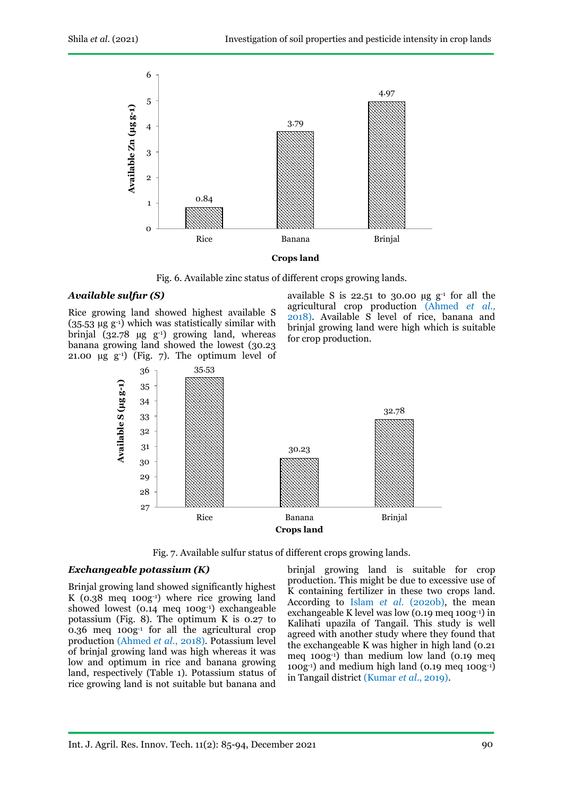

Fig. 6. Available zinc status of different crops growing lands.

#### *Available sulfur (S)*

Rice growing land showed highest available S (35.53 µg g-1) which was statistically similar with brinjal (32.78  $\mu$ g g<sup>-1</sup>) growing land, whereas banana growing land showed the lowest (30.23 21.00  $\mu$ g g<sup>-1</sup>) (Fig. 7). The optimum level of available S is  $22.51$  to 30.00  $\mu$ g g<sup>-1</sup> for all the agricultural crop production (Ahmed *et al.,*  2018). Available S level of rice, banana and brinjal growing land were high which is suitable for crop production.



Fig. 7. Available sulfur status of different crops growing lands.

#### *Exchangeable potassium (K)*

Brinjal growing land showed significantly highest K (0.38 meq 100g-1) where rice growing land showed lowest (0.14 meq 100g-1) exchangeable potassium (Fig. 8). The optimum K is 0.27 to 0.36 meq 100g-1 for all the agricultural crop production (Ahmed *et al.*, 2018). Potassium level of brinjal growing land was high whereas it was low and optimum in rice and banana growing land, respectively (Table 1). Potassium status of rice growing land is not suitable but banana and

brinjal growing land is suitable for crop production. This might be due to excessive use of K containing fertilizer in these two crops land. According to Islam *et al.* (2020b), the mean exchangeable K level was low (0.19 meq 100g-1) in Kalihati upazila of Tangail. This study is well agreed with another study where they found that the exchangeable K was higher in high land (0.21 meq 100g-1) than medium low land (0.19 meq 100g-1) and medium high land (0.19 meq 100g-1) in Tangail district (Kumar *et al*., 2019).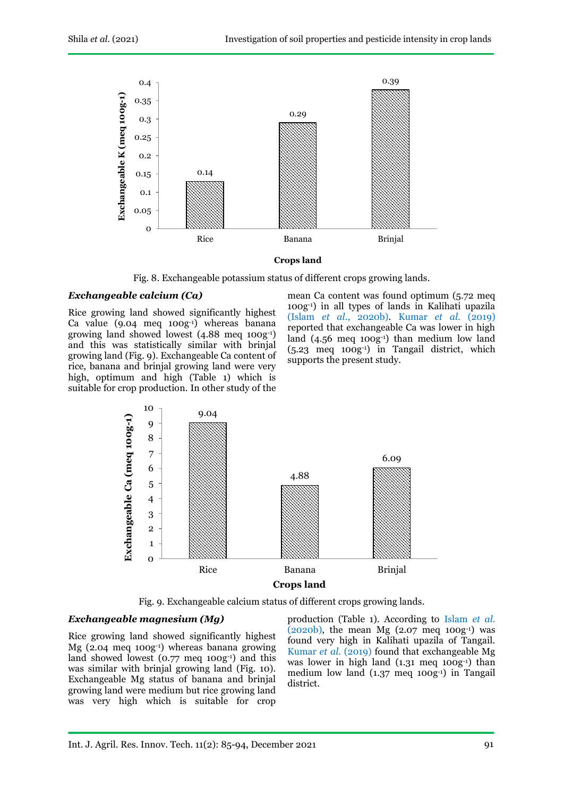

Fig. 8. Exchangeable potassium status of different crops growing lands.

#### *Exchangeable calcium (Ca)*

Rice growing land showed significantly highest Ca value  $(9.04 \text{ meq } 100g^{-1})$  whereas banana growing land showed lowest (4.88 meq 100g-1) and this was statistically similar with brinjal growing land (Fig. 9). Exchangeable Ca content of rice, banana and brinjal growing land were very high, optimum and high (Table 1) which is suitable for crop production. In other study of the

mean Ca content was found optimum (5.72 meq 100g-1) in all types of lands in Kalihati upazila (Islam *et al.*, 2020b). Kumar *et al*. (2019) reported that exchangeable Ca was lower in high land (4.56 meq 100g<sup>-1</sup>) than medium low land  $(5.23 \text{ meg } 100g^{-1})$  in Tangail district, which supports the present study.



Fig. 9. Exchangeable calcium status of different crops growing lands.

## *Exchangeable magnesium (Mg)*

Rice growing land showed significantly highest Mg (2.04 meq 100g-1) whereas banana growing land showed lowest (0.77 meq 100g-1) and this was similar with brinjal growing land (Fig. 10). Exchangeable Mg status of banana and brinjal growing land were medium but rice growing land was very high which is suitable for crop

production (Table 1). According to Islam *et al.*  $(2020b)$ , the mean Mg  $(2.07 \text{ meg } 100g^{-1})$  was found very high in Kalihati upazila of Tangail. Kumar *et al*. (2019) found that exchangeable Mg was lower in high land (1.31 meq 100g-1) than medium low land (1.37 meq 100g-1) in Tangail district.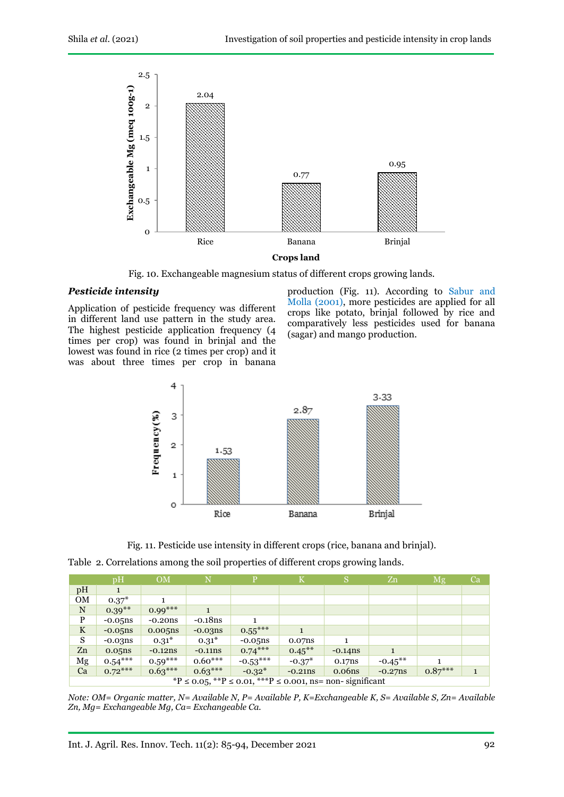

Fig. 10. Exchangeable magnesium status of different crops growing lands.

#### *Pesticide intensity*

Application of pesticide frequency was different in different land use pattern in the study area. The highest pesticide application frequency (4 times per crop) was found in brinjal and the lowest was found in rice (2 times per crop) and it was about three times per crop in banana

production (Fig. 11). According to Sabur and Molla (2001), more pesticides are applied for all crops like potato, brinjal followed by rice and comparatively less pesticides used for banana (sagar) and mango production.



Fig. 11. Pesticide use intensity in different crops (rice, banana and brinjal).

| Table 2. Correlations among the soil properties of different crops growing lands. |  |
|-----------------------------------------------------------------------------------|--|
|-----------------------------------------------------------------------------------|--|

|                                                           | $\mathbf{p}$ H | <b>OM</b>  | N          | Þ          | K         | 'S         | Zn         | Mg        | Ca |
|-----------------------------------------------------------|----------------|------------|------------|------------|-----------|------------|------------|-----------|----|
| pH                                                        |                |            |            |            |           |            |            |           |    |
| <b>OM</b>                                                 | $0.37^*$       | 1.         |            |            |           |            |            |           |    |
| N                                                         | $0.39***$      | $0.99***$  |            |            |           |            |            |           |    |
| P                                                         | $-0.05$ ns     | $-0.20$ ns | $-0.18$ ns |            |           |            |            |           |    |
| $\mathbf K$                                               | $-0.05$ ns     | 0.005ns    | $-0.03ns$  | $0.55***$  |           |            |            |           |    |
| S                                                         | $-0.03ns$      | $0.31*$    | $0.31*$    | $-0.05$ ns | 0.07ns    |            |            |           |    |
| Zn                                                        | 0.05ns         | $-0.12ns$  | $-0.11ns$  | $0.74***$  | $0.45***$ | $-0.14$ ns |            |           |    |
| Mg                                                        | $0.54***$      | $0.59***$  | $0.60***$  | $-0.53***$ | $-0.37*$  | 0.17ns     | $-0.45***$ |           |    |
| Ca                                                        | $0.72***$      | $0.63***$  | $0.63***$  | $-0.32*$   | $-0.21ns$ | 0.06ns     | $-0.27ns$  | $0.87***$ |    |
| *P ≤ 0.05, **P ≤ 0.01, ***P ≤ 0.001, ns= non- significant |                |            |            |            |           |            |            |           |    |

*Note: OM= Organic matter, N= Available N, P= Available P, K=Exchangeable K, S= Available S, Zn= Available Zn, Mg= Exchangeable Mg, Ca= Exchangeable Ca.*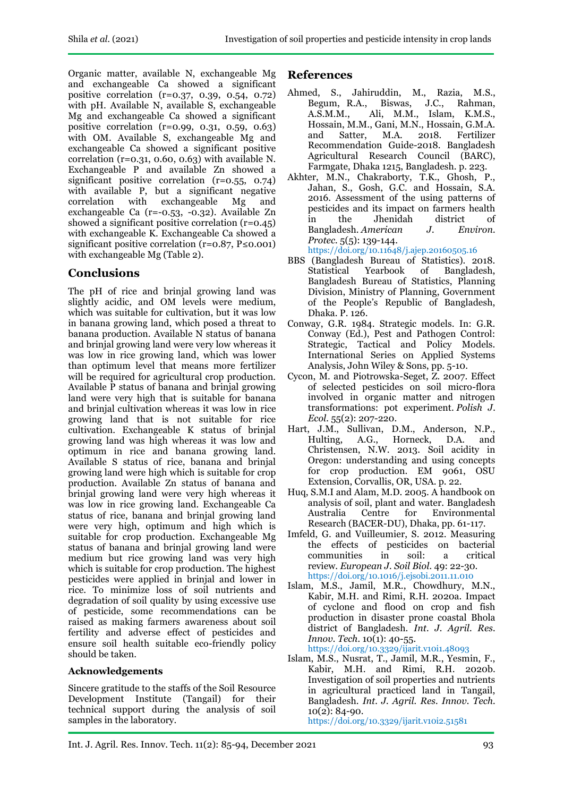Organic matter, available N, exchangeable Mg and exchangeable Ca showed a significant positive correlation (r=0.37, 0.39, 0.54, 0.72) with pH. Available N, available S, exchangeable Mg and exchangeable Ca showed a significant positive correlation (r=0.99, 0.31, 0.59, 0.63) with OM. Available S, exchangeable Mg and exchangeable Ca showed a significant positive correlation ( $r=0.31$ , 0.60, 0.63) with available N. Exchangeable P and available Zn showed a significant positive correlation (r=0.55, 0.74) with available P, but a significant negative correlation with exchangeable Mg and exchangeable Ca (r=-0.53, -0.32). Available Zn showed a significant positive correlation (r=0.45) with exchangeable K. Exchangeable Ca showed a significant positive correlation ( $r=0.87, P\leq 0.001$ ) with exchangeable Mg (Table 2).

# **Conclusions**

The pH of rice and brinjal growing land was slightly acidic, and OM levels were medium, which was suitable for cultivation, but it was low in banana growing land, which posed a threat to banana production. Available N status of banana and brinjal growing land were very low whereas it was low in rice growing land, which was lower than optimum level that means more fertilizer will be required for agricultural crop production. Available P status of banana and brinjal growing land were very high that is suitable for banana and brinjal cultivation whereas it was low in rice growing land that is not suitable for rice cultivation. Exchangeable K status of brinjal growing land was high whereas it was low and optimum in rice and banana growing land. Available S status of rice, banana and brinjal growing land were high which is suitable for crop production. Available Zn status of banana and brinjal growing land were very high whereas it was low in rice growing land. Exchangeable Ca status of rice, banana and brinjal growing land were very high, optimum and high which is suitable for crop production. Exchangeable Mg status of banana and brinjal growing land were medium but rice growing land was very high which is suitable for crop production. The highest pesticides were applied in brinjal and lower in rice. To minimize loss of soil nutrients and degradation of soil quality by using excessive use of pesticide, some recommendations can be raised as making farmers awareness about soil fertility and adverse effect of pesticides and ensure soil health suitable eco-friendly policy should be taken.

# **Acknowledgements**

Sincere gratitude to the staffs of the Soil Resource Development Institute (Tangail) for their technical support during the analysis of soil samples in the laboratory.

# **References**

- Ahmed, S., Jahiruddin, M., Razia, M.S., Biswas, J.C., Rahman, A.S.M.M., Ali, M.M., Islam, K.M.S., Hossain, M.M., Gani, M.N., Hossain, G.M.A. and Satter, M.A. 2018. Fertilizer Recommendation Guide-2018. Bangladesh Agricultural Research Council (BARC), Farmgate, Dhaka 1215, Bangladesh. p. 223.
- Akhter, M.N., Chakraborty, T.K., Ghosh, P., Jahan, S., Gosh, G.C. and Hossain, S.A. 2016. Assessment of the using patterns of pesticides and its impact on farmers health in the Jhenidah district of<br>Bangladesh American J. Environ Bangladesh. *American J. Environ. Protec.* 5(5): 139-144.

<https://doi.org/10.11648/j.ajep.20160505.16>

- BBS (Bangladesh Bureau of Statistics). 2018. Statistical Yearbook of Bangladesh, Bangladesh Bureau of Statistics, Planning Division, Ministry of Planning, Government of the People's Republic of Bangladesh, Dhaka. P. 126.
- Conway, G.R. 1984. Strategic models. In: G.R. Conway (Ed.), Pest and Pathogen Control: Strategic, Tactical and Policy Models. International Series on Applied Systems Analysis, John Wiley & Sons, pp. 5-10.
- Cycon, M. and Piotrowska-Seget, Z. 2007. Effect of selected pesticides on soil micro-flora involved in organic matter and nitrogen transformations: pot experiment. *Polish J. Ecol.* 55(2): 207-220.
- Hart, J.M., Sullivan, D.M., Anderson, N.P., Hulting, A.G., Horneck, D.A. and Christensen, N.W. 2013. Soil acidity in Oregon: understanding and using concepts for crop production. EM 9061, OSU Extension, Corvallis, OR, USA. p. 22.
- Huq, S.M.I and Alam, M.D. 2005. A handbook on analysis of soil, plant and water. Bangladesh Australia Centre for Environmental Research (BACER-DU), Dhaka, pp. 61-117.
- Imfeld, G. and Vuilleumier, S. 2012. Measuring the effects of pesticides on bacterial<br>communities in soil: a critical communities in soil: a critical review. *European J. Soil Biol.* 49: 22-30. <https://doi.org/10.1016/j.ejsobi.2011.11.010>
- Islam, M.S., Jamil, M.R., Chowdhury, M.N., Kabir, M.H. and Rimi, R.H. 2020a. Impact of cyclone and flood on crop and fish production in disaster prone coastal Bhola district of Bangladesh. *Int. J. Agril. Res. Innov. Tech.* 10(1): 40-55.

<https://doi.org/10.3329/ijarit.v10i1.48093>

Islam, M.S., Nusrat, T., Jamil, M.R., Yesmin, F., Kabir, M.H. and Rimi, R.H. 2020b. Investigation of soil properties and nutrients in agricultural practiced land in Tangail, Bangladesh. *Int. J. Agril. Res. Innov. Tech.* 10(2): 84-90.

<https://doi.org/10.3329/ijarit.v10i2.51581>